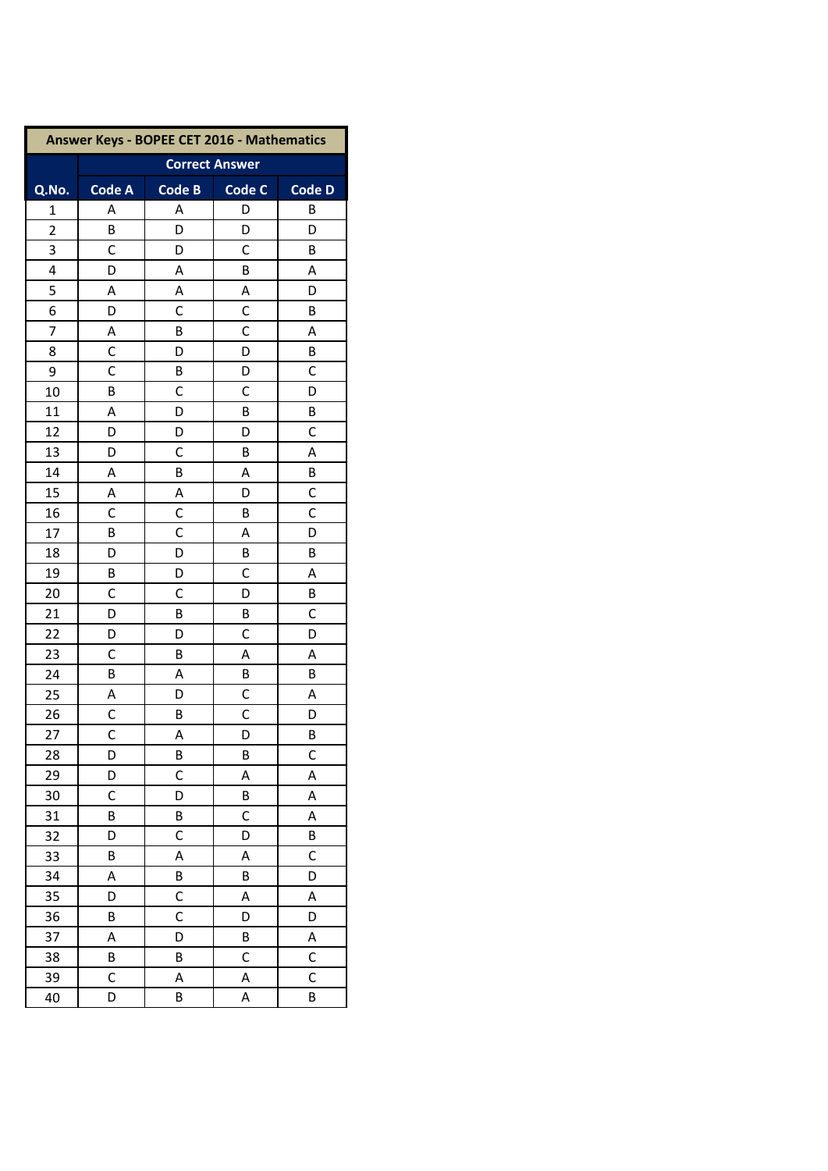| Answer Keys - BOPEE CET 2016 - Mathematics |                       |               |               |                |  |  |
|--------------------------------------------|-----------------------|---------------|---------------|----------------|--|--|
|                                            | <b>Correct Answer</b> |               |               |                |  |  |
| Q.No.                                      | <b>Code A</b>         | <b>Code B</b> | <b>Code C</b> | <b>Code D</b>  |  |  |
| $\mathbf{1}$                               | Α                     | А             | D             | В              |  |  |
| $\overline{2}$                             | В                     | D             | D             | D              |  |  |
| 3                                          | C                     | D             | C             | В              |  |  |
| 4                                          | D                     | A             | B             | Α              |  |  |
| 5                                          | А                     | А             | Α             | D              |  |  |
| 6                                          | D                     | $\mathsf{C}$  | C             | B              |  |  |
| 7                                          | Α                     | B             | C             | Α              |  |  |
| 8                                          | C                     | D             | D             | B              |  |  |
| 9                                          | С                     | B             | D             | С              |  |  |
| 10                                         | B                     | $\mathsf{C}$  | C             | D              |  |  |
| 11                                         | А                     | D             | B             | В              |  |  |
| 12                                         | D                     | D             | D             | C              |  |  |
| 13                                         | D                     | C             | B             | Α              |  |  |
| 14                                         | А                     | B             | Α             | В              |  |  |
| 15                                         | Α                     | Α             | D             | C              |  |  |
| 16                                         | С                     | C             | В             | C              |  |  |
| 17                                         | B                     | C             | Α             | D              |  |  |
| 18                                         | D                     | D             | B             | В              |  |  |
| 19                                         | В                     | D             | C             | А              |  |  |
| 20                                         | C                     | $\mathsf{C}$  | D             | В              |  |  |
| 21                                         | D                     | B             | B             | C              |  |  |
| 22                                         | D                     | D             | C             | D              |  |  |
| 23                                         | C                     | B             | Α             | А              |  |  |
| 24                                         | В                     | А             | В             | В              |  |  |
| 25                                         | Α                     | D             | C             | Α              |  |  |
| 26                                         | С                     | B             | C             | D              |  |  |
| 27                                         | $\overline{C}$        | Α             | D             | В              |  |  |
| 28                                         | D                     | В             | В             | С              |  |  |
| 29                                         | D                     | C             | A             | A              |  |  |
| 30                                         | C                     | D             | B             | А              |  |  |
| 31                                         | В                     | B             | C             | А              |  |  |
| 32                                         | D                     | C             | D             | В              |  |  |
| 33                                         | B                     | Α             | A             | C              |  |  |
| 34                                         | A                     | B             | B             | D              |  |  |
| 35                                         | D                     | C             | A             | A              |  |  |
| 36                                         | В                     | C             | D             | D              |  |  |
| 37                                         | А                     | D             | B             | А              |  |  |
| 38                                         | В                     | B             | C             | С              |  |  |
| 39                                         | C                     | Α             | A             | $\overline{C}$ |  |  |
| 40                                         | D                     | В             | Α             | В              |  |  |